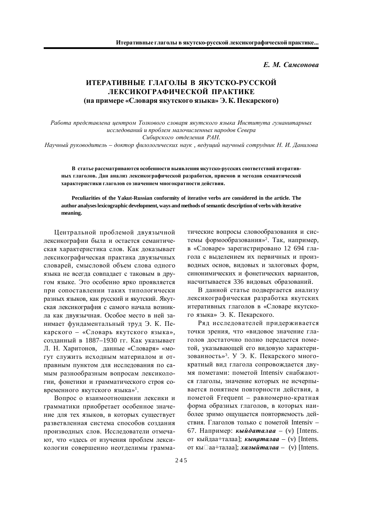*Е. М. Самсонова* 

## **ИТЕРАТИВНЫЕ ГЛАГОЛЫ В ЯКУТСКО-РУССКОЙ ЛЕКСИКОГРАФИЧЕСКОЙ ПРАКТИКЕ**  $(ha\ nph)$  • «Словаря якутского языка» Э. К. Пекарского)

Работа представлена центром Толкового словаря якутского языка Института гуманитарных исследований и проблем малочисленных народов Севера Сибирского отделения РАН.

 $H$ аучный руководитель – доктор филологических наук, ведущий научный сотрудник Н. И. Данилова

В статье рассматриваются особенности выявления якутско-русских соответствий итеративных глаголов. Дан анализ лексикографической разработки, приемов и методов семантической **характеристики глаголов со значением многократности действия.** 

**Peculiarities of the Yakut-Russian conformity of iterative verbs are considered in the article. The author analyses lexicographic development, ways and methods of semantic description of verbs with iterative meaning.**

Центральной проблемой двуязычной лексикографии была и остается семантическая характеристика слов. Как доказывает лексикографическая практика двуязычных словарей, смысловой объем слова одного языка не всегда совпадает с таковым в другом языке. Это особенно ярко проявляется при сопоставлении таких типологически разных языков, как русский и якутский. Якутская лексикография с самого начала возникла как лвуязычная. Особое место в ней занимает фундаментальный труд Э. К. Пекарского – «Словарь якутского языка», созданный в 1887–1930 гг. Как указывает Л. Н. Харитонов, данные «Словаря» «могут служить исходным материалом и отправным пунктом для исследования по самым разнообразным вопросам лексикологии, фонетики и грамматического строя современного якутского языка»<sup>1</sup>.

Вопрос о взаимоотношении лексики и грамматики приобретает особенное значение для тех языков, в которых существует разветвленная система способов создания производных слов. Исследователи отмечают, что «здесь от изучения проблем лексикологии совершенно неотделимы грамматические вопросы словообразования и системы формообразования»<sup>2</sup>. Так, например, в «Словаре» зарегистрировано 12 694 глагола с выделением их первичных и производных основ, видовых и залоговых форм, синонимических и фонетических вариантов, насчитывается 336 видовых образований.

В данной статье подвергается анализу лексикографическая разработка якутских итеративных глаголов в «Словаре якутского языка» Э. К. Пекарского.

Ряд исследователей придерживается точки зрения, что «видовое значение глаголов достаточно полно передается пометой, указывающей его видовую характеризованность»<sup>3</sup>. У Э. К. Пекарского многократный вид глагола сопровождается двумя пометами: пометой Intensiv снабжаются глаголы, значение которых не исчерпывается понятием повторности действия, а пометой Frequent – равномерно-кратная форма образных глаголов, в которых наиболее зримо ощущается повторяемость действия. Глаголов только с пометой Intensiv -67. Например: *кыйдаталаа* – (v) [Intens. от кыйдаа+талаа]; **кынаталаа** – (v) [Intens. <u>от кы</u>□аа+талаа]; *халыйталаа* – (v) [Intens.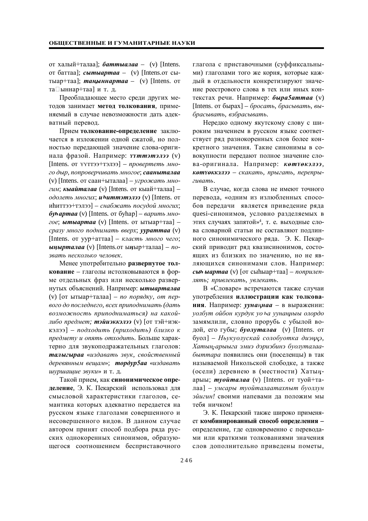от халый+талаа]; батты алаа – (v) [Intens. от баттаа]; *сытыартаа* – (v) [Intens.oт сытыар+таа]; *таңыннартаа* – (v) [Intens. от та□ыннар+таа] и т. д.

Преобладающее место среди других методов занимает метол толкования. применяемый в случае невозможности дать адекватный перевод.

Прием толкование-определение заключается в изложении одной сжатой, но полностью передающей значение слова-оригинала фразой. Например: *ууттэтэлээ* (v) [Intens. от үүттээ+тэлээ] – провертеть мно- $20$  дыр, попроверчивать многое; сааныталаа (v) [Intens. от саан+ыталаа] – *угрожать многим*; *кыайталаа* (v) [Intens. от кыай+талаа] –  $\partial$ долеть многих; **и питтэтэлээ** (v) [Intens. от нһиттээ+тэлээ] – *снабжать посудой многих*;  $\delta$ **уь артаа** (v) [Intens. от буһар] – варить мно*zoe*: *bimbiapmaa* (v) [Intens. or **bighthare**+raa] – *cpaзy много поднимать вверх; уураттаа* (v) [Intens. or yyp+aттaa] – *класть много чего*; *ыңырталаа* (v) [Intens.oт ыңыр+талаа] – *no*звать несколько человек.

Менее употребительно развернутое тол**кование** – глаголы истолковываются в форме отдельных фраз или несколько развернутых объяснений. Например: **ытыарталаа**  $(v)$  [or  $\text{b}$ r $\text{b}$   $\text{b}$ <sub>1</sub> $\text{b}$ <sup>+</sup> $\text{c}$  $\text{b}$  $\text{c}$  $\text{b}$  $\text{c}$  $\text{b}$  $\text{c}$  $\text{d}$  $\text{d}$  $\text{c}$  $\text{d}$  $\text{d}$  $\text{d}$  $\text{d}$  $\text{d}$  $\text{d}$  $\text{d}$  $\text{d}$  $\text{d}$  $\text{d}$  $\text{d}$  $\text{d}$  $\text{d}$  $\text{d}$  $\text{d}$  $\boldsymbol{\theta}$ аго до последнего, всех приподнимать (дать  $\cos\theta$ *возможность приподниматься) на какойлибо предмет; тэйиэккэлээ* (v) [от тэй+иэкɤɷɥɷɷ] – *ɩɨɞɯɨɞɢɬɶ (ɩɪɢɯɨɞɢɬɶ) ɛɥɢɡɤɨ ɤ предмету и опять отходить*. Больше характерно для звукоподражательных глаголов:  $ma$ лыгыраа «издавать звук, свойственный деревянным вещам»; **тордур5аа** «издавать uvpшашие звуки» и т. д.

Такой прием, как синонимическое определение, Э. К. Пекарский использовал для смысловой характеристики глаголов, семантика которых адекватно передается на русском языке глаголами совершенного и несовершенного видов. В данном случае автором принят способ подбора ряда русских однокоренных синонимов, образующегося соотношением бесприставочного глагола с приставочными (суффиксальными) глаголами того же корня, которые каждый в отдельности конкретизируют значение реестрового слова в тех или иных контекстах речи. Например: быра5аттаа (v) [Intens. ɨɬɛɵɪɚɯ] – *ɛɪɨɫɚɬɶ, ɛɪɚɫɵɜɚɬɶ, ɜɵ-* $6$ расывать, взбрасывать.

Нередко одному якутскому слову с широким значением в русском языке соответствует ряд разнокоренных слов более конкретного значения. Такие синонимы в совокупности передают полное значение слова-оригинала. Например: *котчокэлээ*, **көтүөккэлээ** – скакать, прыгать, перепрыгивать.

В случае, когда слова не имеют точного перевода, «одним из излюбленных способов передачи является приведение ряда quesi-синонимов, условно разделяемых в этих случаях запятой»<sup>4</sup>, т. е. выходные слова словарной статьи не составляют подлинного синонимического ряда. Э. К. Пекарский приводит ряд квазисинонимов, состоящих из близких по значению, но не являющихся синонимами слов. Например: *c***ы***h* **ыартаа** (v) [от сыһыар+таа] – *поприлеп*- $\mu$ ять; привлекать, увлекать.

В «Словаре» встречаются также случаи употребления иллюстрации как толкования. Например: уунаңнаа - в выражении:  $y$ олбут ойбон курдук уо ѣа уунанныы олордо замямлили, словно прорубь с убылой водой, его губы; **буолуталаа** (v) [Intens. от буол] – Ньукуолускай солобуотка диэңңэ,  $X$ атың-арыыга эмиэ дэриэбинэ буолуталаабыттара появились они (поселенцы) в так называемой Никольской слободке, а также (осели) деревнею в (местности) Хатыңарыы; *түойталаа* (v) [Intens. от туой+та- $\text{Jaa}$ ] – умсары туойталаатахпыт буоллун эйигин! своими напевами да положим мы тебя ничком!

Э. К. Пекарский также широко применяет комбинированный способ определения определение, где одновременно с переводами или краткими толкованиями значения слов дополнительно приведены пометы,